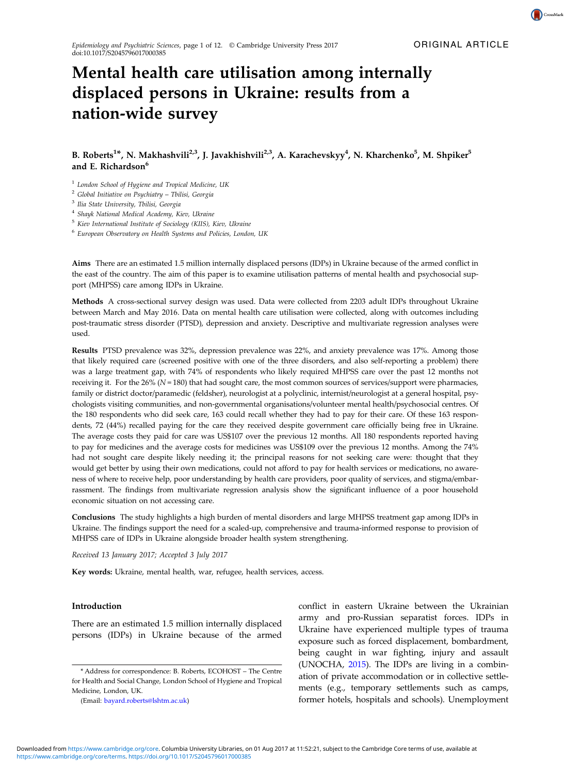CrossMark

# Mental health care utilisation among internally displaced persons in Ukraine: results from a nation-wide survey

## B. Roberts<sup>1\*</sup>, N. Makhashvili<sup>2,3</sup>, J. Javakhishvili<sup>2,3</sup>, A. Karachevskyy<sup>4</sup>, N. Kharchenko<sup>5</sup>, M. Shpiker<sup>5</sup> and E. Richardson<sup>6</sup>

<sup>1</sup> London School of Hygiene and Tropical Medicine, UK

<sup>2</sup> Global Initiative on Psychiatry – Tbilisi, Georgia

<sup>3</sup> Ilia State University, Tbilisi, Georgia

<sup>4</sup> Shayk National Medical Academy, Kiev, Ukraine

<sup>5</sup> Kiev International Institute of Sociology (KIIS), Kiev, Ukraine

<sup>6</sup> European Observatory on Health Systems and Policies, London, UK

Aims There are an estimated 1.5 million internally displaced persons (IDPs) in Ukraine because of the armed conflict in the east of the country. The aim of this paper is to examine utilisation patterns of mental health and psychosocial support (MHPSS) care among IDPs in Ukraine.

Methods A cross-sectional survey design was used. Data were collected from 2203 adult IDPs throughout Ukraine between March and May 2016. Data on mental health care utilisation were collected, along with outcomes including post-traumatic stress disorder (PTSD), depression and anxiety. Descriptive and multivariate regression analyses were used.

Results PTSD prevalence was 32%, depression prevalence was 22%, and anxiety prevalence was 17%. Among those that likely required care (screened positive with one of the three disorders, and also self-reporting a problem) there was a large treatment gap, with 74% of respondents who likely required MHPSS care over the past 12 months not receiving it. For the 26% ( $N = 180$ ) that had sought care, the most common sources of services/support were pharmacies, family or district doctor/paramedic (feldsher), neurologist at a polyclinic, internist/neurologist at a general hospital, psychologists visiting communities, and non-governmental organisations/volunteer mental health/psychosocial centres. Of the 180 respondents who did seek care, 163 could recall whether they had to pay for their care. Of these 163 respondents, 72 (44%) recalled paying for the care they received despite government care officially being free in Ukraine. The average costs they paid for care was US\$107 over the previous 12 months. All 180 respondents reported having to pay for medicines and the average costs for medicines was US\$109 over the previous 12 months. Among the 74% had not sought care despite likely needing it; the principal reasons for not seeking care were: thought that they would get better by using their own medications, could not afford to pay for health services or medications, no awareness of where to receive help, poor understanding by health care providers, poor quality of services, and stigma/embarrassment. The findings from multivariate regression analysis show the significant influence of a poor household economic situation on not accessing care.

Conclusions The study highlights a high burden of mental disorders and large MHPSS treatment gap among IDPs in Ukraine. The findings support the need for a scaled-up, comprehensive and trauma-informed response to provision of MHPSS care of IDPs in Ukraine alongside broader health system strengthening.

Received 13 January 2017; Accepted 3 July 2017

Key words: Ukraine, mental health, war, refugee, health services, access.

#### Introduction

There are an estimated 1.5 million internally displaced persons (IDPs) in Ukraine because of the armed conflict in eastern Ukraine between the Ukrainian army and pro-Russian separatist forces. IDPs in Ukraine have experienced multiple types of trauma exposure such as forced displacement, bombardment, being caught in war fighting, injury and assault (UNOCHA, [2015](#page-11-0)). The IDPs are living in a combination of private accommodation or in collective settlements (e.g., temporary settlements such as camps, former hotels, hospitals and schools). Unemployment

<sup>\*</sup> Address for correspondence: B. Roberts, ECOHOST – The Centre for Health and Social Change, London School of Hygiene and Tropical Medicine, London, UK.

<sup>(</sup>Email: [bayard.roberts@lshtm.ac.uk\)](mailto:bayard.roberts@lshtm.ac.uk)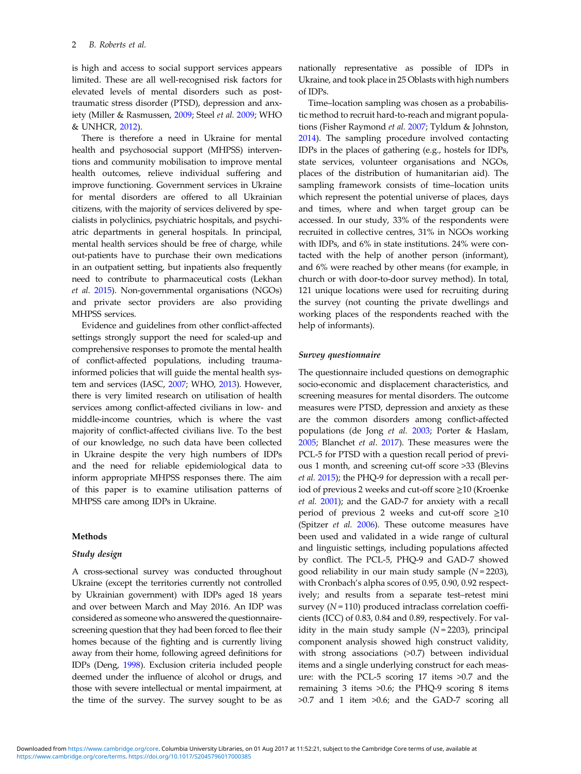is high and access to social support services appears limited. These are all well-recognised risk factors for elevated levels of mental disorders such as posttraumatic stress disorder (PTSD), depression and anxiety (Miller & Rasmussen, [2009;](#page-10-0) Steel et al. [2009;](#page-11-0) WHO & UNHCR, [2012\)](#page-11-0).

There is therefore a need in Ukraine for mental health and psychosocial support (MHPSS) interventions and community mobilisation to improve mental health outcomes, relieve individual suffering and improve functioning. Government services in Ukraine for mental disorders are offered to all Ukrainian citizens, with the majority of services delivered by specialists in polyclinics, psychiatric hospitals, and psychiatric departments in general hospitals. In principal, mental health services should be free of charge, while out-patients have to purchase their own medications in an outpatient setting, but inpatients also frequently need to contribute to pharmaceutical costs (Lekhan et al. [2015\)](#page-10-0). Non-governmental organisations (NGOs) and private sector providers are also providing MHPSS services.

Evidence and guidelines from other conflict-affected settings strongly support the need for scaled-up and comprehensive responses to promote the mental health of conflict-affected populations, including traumainformed policies that will guide the mental health system and services (IASC, [2007;](#page-10-0) WHO, [2013](#page-11-0)). However, there is very limited research on utilisation of health services among conflict-affected civilians in low- and middle-income countries, which is where the vast majority of conflict-affected civilians live. To the best of our knowledge, no such data have been collected in Ukraine despite the very high numbers of IDPs and the need for reliable epidemiological data to inform appropriate MHPSS responses there. The aim of this paper is to examine utilisation patterns of MHPSS care among IDPs in Ukraine.

## Methods

#### Study design

A cross-sectional survey was conducted throughout Ukraine (except the territories currently not controlled by Ukrainian government) with IDPs aged 18 years and over between March and May 2016. An IDP was considered as someone who answered the questionnairescreening question that they had been forced to flee their homes because of the fighting and is currently living away from their home, following agreed definitions for IDPs (Deng, [1998\)](#page-10-0). Exclusion criteria included people deemed under the influence of alcohol or drugs, and those with severe intellectual or mental impairment, at the time of the survey. The survey sought to be as nationally representative as possible of IDPs in Ukraine, and took place in 25 Oblasts with high numbers of IDPs.

Time–location sampling was chosen as a probabilistic method to recruit hard-to-reach and migrant populations (Fisher Raymond et al. [2007](#page-10-0); Tyldum & Johnston, [2014](#page-11-0)). The sampling procedure involved contacting IDPs in the places of gathering (e.g., hostels for IDPs, state services, volunteer organisations and NGOs, places of the distribution of humanitarian aid). The sampling framework consists of time–location units which represent the potential universe of places, days and times, where and when target group can be accessed. In our study, 33% of the respondents were recruited in collective centres, 31% in NGOs working with IDPs, and 6% in state institutions. 24% were contacted with the help of another person (informant), and 6% were reached by other means (for example, in church or with door-to-door survey method). In total, 121 unique locations were used for recruiting during the survey (not counting the private dwellings and working places of the respondents reached with the help of informants).

#### Survey questionnaire

The questionnaire included questions on demographic socio-economic and displacement characteristics, and screening measures for mental disorders. The outcome measures were PTSD, depression and anxiety as these are the common disorders among conflict-affected populations (de Jong et al. [2003;](#page-10-0) Porter & Haslam, [2005](#page-10-0); Blanchet et al. [2017](#page-10-0)). These measures were the PCL-5 for PTSD with a question recall period of previous 1 month, and screening cut-off score >33 (Blevins et al. [2015](#page-10-0)); the PHQ-9 for depression with a recall period of previous 2 weeks and cut-off score ≥10 (Kroenke et al. [2001\)](#page-10-0); and the GAD-7 for anxiety with a recall period of previous 2 weeks and cut-off score  $\geq 10$ (Spitzer et al. [2006](#page-11-0)). These outcome measures have been used and validated in a wide range of cultural and linguistic settings, including populations affected by conflict. The PCL-5, PHQ-9 and GAD-7 showed good reliability in our main study sample  $(N = 2203)$ , with Cronbach's alpha scores of 0.95, 0.90, 0.92 respectively; and results from a separate test–retest mini survey  $(N = 110)$  produced intraclass correlation coefficients (ICC) of 0.83, 0.84 and 0.89, respectively. For validity in the main study sample  $(N=2203)$ , principal component analysis showed high construct validity, with strong associations (>0.7) between individual items and a single underlying construct for each measure: with the PCL-5 scoring 17 items >0.7 and the remaining 3 items >0.6; the PHQ-9 scoring 8 items >0.7 and 1 item >0.6; and the GAD-7 scoring all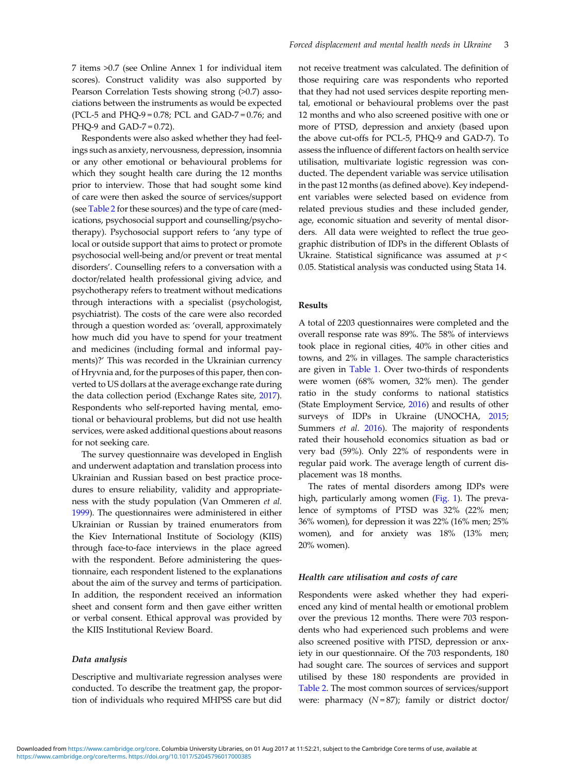7 items >0.7 (see Online Annex 1 for individual item scores). Construct validity was also supported by Pearson Correlation Tests showing strong (>0.7) associations between the instruments as would be expected (PCL-5 and PHQ-9 = 0.78; PCL and GAD-7 = 0.76; and PHQ-9 and GAD-7 = 0.72).

Respondents were also asked whether they had feelings such as anxiety, nervousness, depression, insomnia or any other emotional or behavioural problems for which they sought health care during the 12 months prior to interview. Those that had sought some kind of care were then asked the source of services/support (see [Table 2](#page-5-0) for these sources) and the type of care (medications, psychosocial support and counselling/psychotherapy). Psychosocial support refers to 'any type of local or outside support that aims to protect or promote psychosocial well-being and/or prevent or treat mental disorders'. Counselling refers to a conversation with a doctor/related health professional giving advice, and psychotherapy refers to treatment without medications through interactions with a specialist (psychologist, psychiatrist). The costs of the care were also recorded through a question worded as: 'overall, approximately how much did you have to spend for your treatment and medicines (including formal and informal payments)?' This was recorded in the Ukrainian currency of Hryvnia and, for the purposes of this paper, then converted to US dollars at the average exchange rate during the data collection period (Exchange Rates site, [2017\)](#page-10-0). Respondents who self-reported having mental, emotional or behavioural problems, but did not use health services, were asked additional questions about reasons for not seeking care.

The survey questionnaire was developed in English and underwent adaptation and translation process into Ukrainian and Russian based on best practice procedures to ensure reliability, validity and appropriateness with the study population (Van Ommeren et al. [1999\)](#page-11-0). The questionnaires were administered in either Ukrainian or Russian by trained enumerators from the Kiev International Institute of Sociology (KIIS) through face-to-face interviews in the place agreed with the respondent. Before administering the questionnaire, each respondent listened to the explanations about the aim of the survey and terms of participation. In addition, the respondent received an information sheet and consent form and then gave either written or verbal consent. Ethical approval was provided by the KIIS Institutional Review Board.

#### Data analysis

Descriptive and multivariate regression analyses were conducted. To describe the treatment gap, the proportion of individuals who required MHPSS care but did not receive treatment was calculated. The definition of those requiring care was respondents who reported that they had not used services despite reporting mental, emotional or behavioural problems over the past 12 months and who also screened positive with one or more of PTSD, depression and anxiety (based upon the above cut-offs for PCL-5, PHQ-9 and GAD-7). To assess the influence of different factors on health service utilisation, multivariate logistic regression was conducted. The dependent variable was service utilisation in the past 12 months (as defined above). Key independent variables were selected based on evidence from related previous studies and these included gender, age, economic situation and severity of mental disorders. All data were weighted to reflect the true geographic distribution of IDPs in the different Oblasts of Ukraine. Statistical significance was assumed at  $p <$ 0.05. Statistical analysis was conducted using Stata 14.

## Results

A total of 2203 questionnaires were completed and the overall response rate was 89%. The 58% of interviews took place in regional cities, 40% in other cities and towns, and 2% in villages. The sample characteristics are given in [Table 1](#page-3-0). Over two-thirds of respondents were women (68% women, 32% men). The gender ratio in the study conforms to national statistics (State Employment Service, [2016\)](#page-11-0) and results of other surveys of IDPs in Ukraine (UNOCHA, [2015](#page-11-0); Summers et al. [2016\)](#page-11-0). The majority of respondents rated their household economics situation as bad or very bad (59%). Only 22% of respondents were in regular paid work. The average length of current displacement was 18 months.

The rates of mental disorders among IDPs were high, particularly among women [\(Fig. 1](#page-4-0)). The prevalence of symptoms of PTSD was 32% (22% men; 36% women), for depression it was 22% (16% men; 25% women), and for anxiety was 18% (13% men; 20% women).

#### Health care utilisation and costs of care

Respondents were asked whether they had experienced any kind of mental health or emotional problem over the previous 12 months. There were 703 respondents who had experienced such problems and were also screened positive with PTSD, depression or anxiety in our questionnaire. Of the 703 respondents, 180 had sought care. The sources of services and support utilised by these 180 respondents are provided in [Table 2.](#page-5-0) The most common sources of services/support were: pharmacy  $(N=87)$ ; family or district doctor/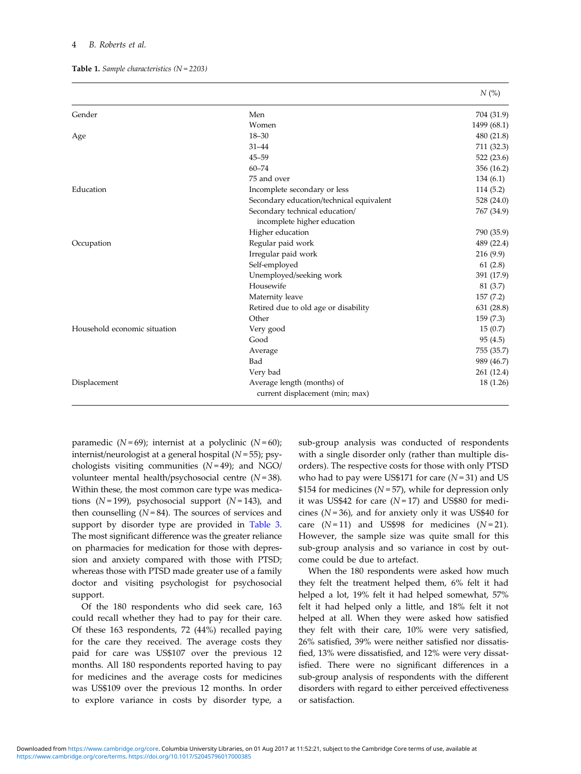#### <span id="page-3-0"></span>4 B. Roberts et al.

|  |  | <b>Table 1.</b> Sample characteristics $(N = 2203)$ |  |
|--|--|-----------------------------------------------------|--|
|--|--|-----------------------------------------------------|--|

| Gender                       | Men                                                           | 704 (31.9)  |
|------------------------------|---------------------------------------------------------------|-------------|
|                              | Women                                                         | 1499 (68.1) |
| Age                          | $18 - 30$                                                     | 480 (21.8)  |
|                              | $31 - 44$                                                     | 711 (32.3)  |
|                              | $45 - 59$                                                     | 522 (23.6)  |
|                              | $60 - 74$                                                     | 356 (16.2)  |
|                              | 75 and over                                                   | 134(6.1)    |
| Education                    | Incomplete secondary or less                                  | 114 (5.2)   |
|                              | Secondary education/technical equivalent                      | 528 (24.0)  |
|                              | Secondary technical education/<br>incomplete higher education | 767 (34.9)  |
|                              | Higher education                                              | 790 (35.9)  |
| Occupation                   | Regular paid work                                             | 489 (22.4)  |
|                              | Irregular paid work                                           | 216 (9.9)   |
|                              | Self-employed                                                 | 61(2.8)     |
|                              | Unemployed/seeking work                                       | 391 (17.9)  |
|                              | Housewife                                                     | 81 (3.7)    |
|                              | Maternity leave                                               | 157(7.2)    |
|                              | Retired due to old age or disability                          | 631 (28.8)  |
|                              | Other                                                         | 159(7.3)    |
| Household economic situation | Very good                                                     | 15(0.7)     |
|                              | Good                                                          | 95(4.5)     |
|                              | Average                                                       | 755 (35.7)  |
|                              | Bad                                                           | 989 (46.7)  |
|                              | Very bad                                                      | 261 (12.4)  |
| Displacement                 | Average length (months) of                                    | 18 (1.26)   |

current displacement (min; max)

paramedic ( $N = 69$ ); internist at a polyclinic ( $N = 60$ ); internist/neurologist at a general hospital  $(N=55)$ ; psychologists visiting communities  $(N=49)$ ; and NGO/ volunteer mental health/psychosocial centre  $(N=38)$ . Within these, the most common care type was medications ( $N = 199$ ), psychosocial support ( $N = 143$ ), and then counselling  $(N = 84)$ . The sources of services and support by disorder type are provided in [Table 3.](#page-6-0) The most significant difference was the greater reliance on pharmacies for medication for those with depression and anxiety compared with those with PTSD; whereas those with PTSD made greater use of a family doctor and visiting psychologist for psychosocial support.

Of the 180 respondents who did seek care, 163 could recall whether they had to pay for their care. Of these 163 respondents, 72 (44%) recalled paying for the care they received. The average costs they paid for care was US\$107 over the previous 12 months. All 180 respondents reported having to pay for medicines and the average costs for medicines was US\$109 over the previous 12 months. In order to explore variance in costs by disorder type, a

sub-group analysis was conducted of respondents with a single disorder only (rather than multiple disorders). The respective costs for those with only PTSD who had to pay were US\$171 for care  $(N=31)$  and US \$154 for medicines ( $N = 57$ ), while for depression only it was US\$42 for care  $(N=17)$  and US\$80 for medicines  $(N=36)$ , and for anxiety only it was US\$40 for care  $(N=11)$  and US\$98 for medicines  $(N=21)$ . However, the sample size was quite small for this sub-group analysis and so variance in cost by outcome could be due to artefact.

 $N(%)$ 

When the 180 respondents were asked how much they felt the treatment helped them, 6% felt it had helped a lot, 19% felt it had helped somewhat, 57% felt it had helped only a little, and 18% felt it not helped at all. When they were asked how satisfied they felt with their care, 10% were very satisfied, 26% satisfied, 39% were neither satisfied nor dissatisfied, 13% were dissatisfied, and 12% were very dissatisfied. There were no significant differences in a sub-group analysis of respondents with the different disorders with regard to either perceived effectiveness or satisfaction.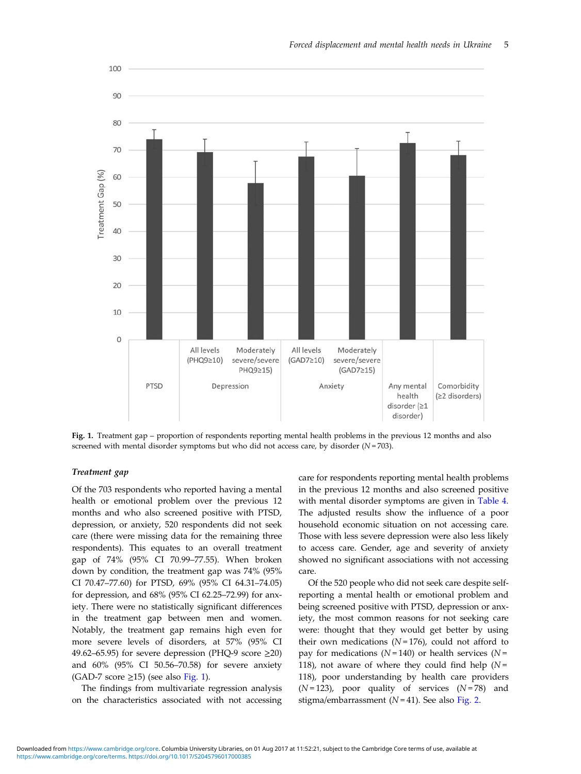<span id="page-4-0"></span>

Forced displacement and mental health needs in Ukraine 5

Fig. 1. Treatment gap – proportion of respondents reporting mental health problems in the previous 12 months and also screened with mental disorder symptoms but who did not access care, by disorder  $(N = 703)$ .

#### Treatment gap

Of the 703 respondents who reported having a mental health or emotional problem over the previous 12 months and who also screened positive with PTSD, depression, or anxiety, 520 respondents did not seek care (there were missing data for the remaining three respondents). This equates to an overall treatment gap of 74% (95% CI 70.99–77.55). When broken down by condition, the treatment gap was 74% (95% CI 70.47–77.60) for PTSD, 69% (95% CI 64.31–74.05) for depression, and 68% (95% CI 62.25–72.99) for anxiety. There were no statistically significant differences in the treatment gap between men and women. Notably, the treatment gap remains high even for more severe levels of disorders, at 57% (95% CI 49.62–65.95) for severe depression (PHQ-9 score  $\geq$ 20) and 60% (95% CI 50.56–70.58) for severe anxiety (GAD-7 score  $\geq$ 15) (see also Fig. 1).

The findings from multivariate regression analysis on the characteristics associated with not accessing care for respondents reporting mental health problems in the previous 12 months and also screened positive with mental disorder symptoms are given in [Table 4](#page-7-0). The adjusted results show the influence of a poor household economic situation on not accessing care. Those with less severe depression were also less likely to access care. Gender, age and severity of anxiety showed no significant associations with not accessing care.

Of the 520 people who did not seek care despite selfreporting a mental health or emotional problem and being screened positive with PTSD, depression or anxiety, the most common reasons for not seeking care were: thought that they would get better by using their own medications ( $N = 176$ ), could not afford to pay for medications ( $N = 140$ ) or health services ( $N =$ 118), not aware of where they could find help ( $N =$ 118), poor understanding by health care providers  $(N=123)$ , poor quality of services  $(N=78)$  and stigma/embarrassment ( $N = 41$ ). See also [Fig. 2](#page-8-0).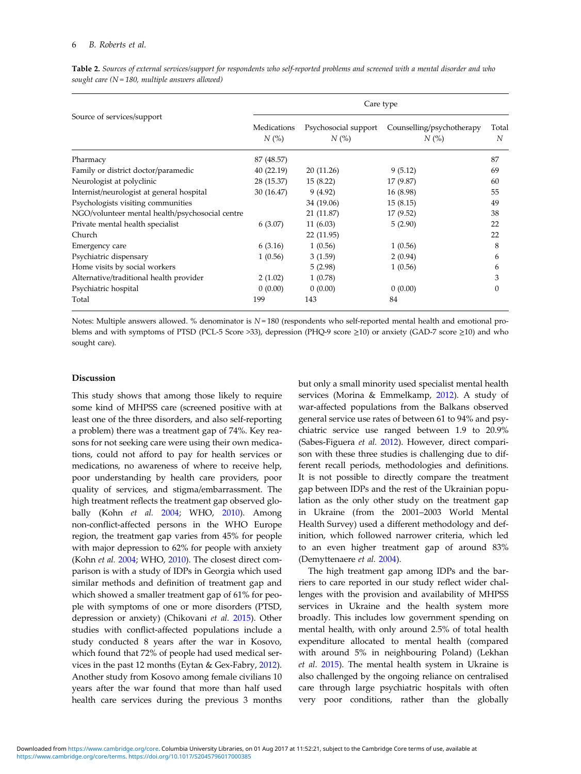|                                                 | Care type              |                             |                                  |            |  |  |
|-------------------------------------------------|------------------------|-----------------------------|----------------------------------|------------|--|--|
| Source of services/support                      | Medications<br>$N$ (%) | Psychosocial support<br>N(% | Counselling/psychotherapy<br>N(% | Total<br>N |  |  |
| Pharmacy                                        | 87 (48.57)             |                             |                                  | 87         |  |  |
| Family or district doctor/paramedic             | 40(22.19)              | 20 (11.26)                  | 9(5.12)                          | 69         |  |  |
| Neurologist at polyclinic                       | 28 (15.37)             | 15(8.22)                    | 17 (9.87)                        | 60         |  |  |
| Internist/neurologist at general hospital       | 30(16.47)              | 9(4.92)                     | 16 (8.98)                        | 55         |  |  |
| Psychologists visiting communities              |                        | 34 (19.06)                  | 15(8.15)                         | 49         |  |  |
| NGO/volunteer mental health/psychosocial centre |                        | 21 (11.87)                  | 17 (9.52)                        | 38         |  |  |
| Private mental health specialist                | 6(3.07)                | 11(6.03)                    | 5(2.90)                          | 22         |  |  |
| Church                                          |                        | 22 (11.95)                  |                                  | 22         |  |  |
| Emergency care                                  | 6(3.16)                | 1(0.56)                     | 1(0.56)                          | 8          |  |  |
| Psychiatric dispensary                          | 1(0.56)                | 3(1.59)                     | 2(0.94)                          | 6          |  |  |
| Home visits by social workers                   |                        | 5(2.98)                     | 1(0.56)                          | 6          |  |  |
| Alternative/traditional health provider         | 2(1.02)                | 1(0.78)                     |                                  | 3          |  |  |
| Psychiatric hospital                            | 0(0.00)                | 0(0.00)                     | 0(0.00)                          | $\theta$   |  |  |
| Total                                           | 199                    | 143                         | 84                               |            |  |  |

<span id="page-5-0"></span>Table 2. Sources of external services/support for respondents who self-reported problems and screened with a mental disorder and who sought care  $(N = 180$ , multiple answers allowed)

Notes: Multiple answers allowed. % denominator is  $N = 180$  (respondents who self-reported mental health and emotional problems and with symptoms of PTSD (PCL-5 Score >33), depression (PHQ-9 score ≥10) or anxiety (GAD-7 score ≥10) and who sought care).

#### Discussion

This study shows that among those likely to require some kind of MHPSS care (screened positive with at least one of the three disorders, and also self-reporting a problem) there was a treatment gap of 74%. Key reasons for not seeking care were using their own medications, could not afford to pay for health services or medications, no awareness of where to receive help, poor understanding by health care providers, poor quality of services, and stigma/embarrassment. The high treatment reflects the treatment gap observed globally (Kohn et al. [2004;](#page-10-0) WHO, [2010\)](#page-11-0). Among non-conflict-affected persons in the WHO Europe region, the treatment gap varies from 45% for people with major depression to 62% for people with anxiety (Kohn et al. [2004](#page-10-0); WHO, [2010\)](#page-11-0). The closest direct comparison is with a study of IDPs in Georgia which used similar methods and definition of treatment gap and which showed a smaller treatment gap of 61% for people with symptoms of one or more disorders (PTSD, depression or anxiety) (Chikovani et al. [2015](#page-10-0)). Other studies with conflict-affected populations include a study conducted 8 years after the war in Kosovo, which found that 72% of people had used medical services in the past 12 months (Eytan & Gex-Fabry, [2012\)](#page-10-0). Another study from Kosovo among female civilians 10 years after the war found that more than half used health care services during the previous 3 months but only a small minority used specialist mental health services (Morina & Emmelkamp, [2012](#page-10-0)). A study of war-affected populations from the Balkans observed general service use rates of between 61 to 94% and psychiatric service use ranged between 1.9 to 20.9% (Sabes-Figuera et al. [2012](#page-10-0)). However, direct comparison with these three studies is challenging due to different recall periods, methodologies and definitions. It is not possible to directly compare the treatment gap between IDPs and the rest of the Ukrainian population as the only other study on the treatment gap in Ukraine (from the 2001–2003 World Mental Health Survey) used a different methodology and definition, which followed narrower criteria, which led to an even higher treatment gap of around 83% (Demyttenaere et al. [2004](#page-10-0)).

The high treatment gap among IDPs and the barriers to care reported in our study reflect wider challenges with the provision and availability of MHPSS services in Ukraine and the health system more broadly. This includes low government spending on mental health, with only around 2.5% of total health expenditure allocated to mental health (compared with around 5% in neighbouring Poland) (Lekhan et al. [2015\)](#page-10-0). The mental health system in Ukraine is also challenged by the ongoing reliance on centralised care through large psychiatric hospitals with often very poor conditions, rather than the globally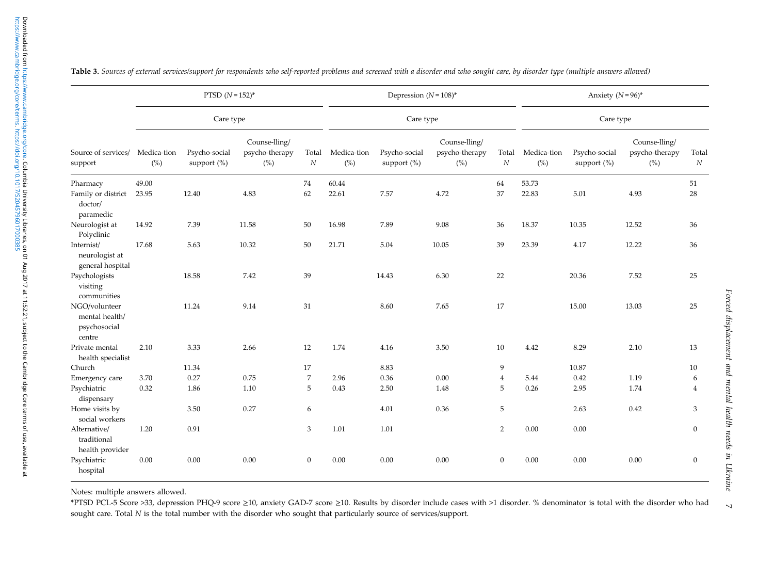|                                                           | PTSD $(N = 152)^*$<br>Care type |                              |                                        | Depression $(N=108)^*$    |                    |                              | Anxiety $(N=96)^*$                     |                           |                    |                              |                                        |                |
|-----------------------------------------------------------|---------------------------------|------------------------------|----------------------------------------|---------------------------|--------------------|------------------------------|----------------------------------------|---------------------------|--------------------|------------------------------|----------------------------------------|----------------|
|                                                           |                                 |                              |                                        |                           | Care type          |                              |                                        | Care type                 |                    |                              |                                        |                |
| Source of services/<br>support                            | Medica-tion<br>(%)              | Psycho-social<br>support (%) | Counse-lling/<br>psycho-therapy<br>(%) | Total<br>$\boldsymbol{N}$ | Medica-tion<br>(%) | Psycho-social<br>support (%) | Counse-lling/<br>psycho-therapy<br>(%) | Total<br>$\boldsymbol{N}$ | Medica-tion<br>(%) | Psycho-social<br>support (%) | Counse-lling/<br>psycho-therapy<br>(%) | Total<br>N     |
| Pharmacy<br>Family or district<br>doctor/<br>paramedic    | 49.00<br>23.95                  | 12.40                        | 4.83                                   | 74<br>62                  | 60.44<br>22.61     | 7.57                         | 4.72                                   | 64<br>37                  | 53.73<br>22.83     | 5.01                         | 4.93                                   | 51<br>28       |
| Neurologist at<br>Polyclinic                              | 14.92                           | 7.39                         | 11.58                                  | 50                        | 16.98              | 7.89                         | 9.08                                   | 36                        | 18.37              | 10.35                        | 12.52                                  | 36             |
| Internist/<br>neurologist at<br>general hospital          | 17.68                           | 5.63                         | 10.32                                  | 50                        | 21.71              | 5.04                         | 10.05                                  | 39                        | 23.39              | 4.17                         | 12.22                                  | 36             |
| Psychologists<br>visiting<br>communities                  |                                 | 18.58                        | 7.42                                   | 39                        |                    | 14.43                        | 6.30                                   | 22                        |                    | 20.36                        | 7.52                                   | 25             |
| NGO/volunteer<br>mental health/<br>psychosocial<br>centre |                                 | 11.24                        | 9.14                                   | 31                        |                    | 8.60                         | 7.65                                   | 17                        |                    | 15.00                        | 13.03                                  | 25             |
| Private mental                                            | 2.10                            | 3.33                         | 2.66                                   | 12                        | 1.74               | 4.16                         | 3.50                                   | 10                        | 4.42               | 8.29                         | 2.10                                   | 13             |
| health specialist<br>Church                               |                                 | 11.34                        |                                        | 17                        |                    | 8.83                         |                                        | 9                         |                    | 10.87                        |                                        | 10             |
| Emergency care                                            | 3.70                            | 0.27                         | 0.75                                   | $\overline{7}$            | 2.96               | 0.36                         | 0.00                                   | $\overline{4}$            | 5.44               | 0.42                         | 1.19                                   | 6              |
| Psychiatric<br>dispensary                                 | 0.32                            | 1.86                         | 1.10                                   | 5                         | 0.43               | 2.50                         | 1.48                                   | 5                         | 0.26               | 2.95                         | 1.74                                   | $\overline{4}$ |
| Home visits by<br>social workers                          |                                 | 3.50                         | 0.27                                   | 6                         |                    | 4.01                         | 0.36                                   | 5                         |                    | 2.63                         | 0.42                                   | 3              |
| Alternative/<br>traditional<br>health provider            | 1.20                            | 0.91                         |                                        | 3                         | 1.01               | 1.01                         |                                        | 2                         | 0.00               | 0.00                         |                                        | $\mathbf{0}$   |
| Psychiatric<br>hospital                                   | 0.00                            | $0.00\,$                     | 0.00                                   | $\mathbf{0}$              | 0.00               | 0.00                         | 0.00                                   | $\mathbf{0}$              | 0.00               | 0.00                         | 0.00                                   | $\mathbf{0}$   |

<span id="page-6-0"></span>Table 3. Sources of external services/support for respondents who self-reported problems and screened with <sup>a</sup> disorder and who sought care, by disorder type (multiple answers allowed)

Notes: multiple answers allowed.

\*PTSD PCL-5 Score >33, depression PHQ-9 score ≥10, anxiety GAD-7 score ≥10. Results by disorder include cases with >1 disorder. % denominator is total with the disorder who had sought care. Total N is the total number with the disorder who sought that particularly source of services/support.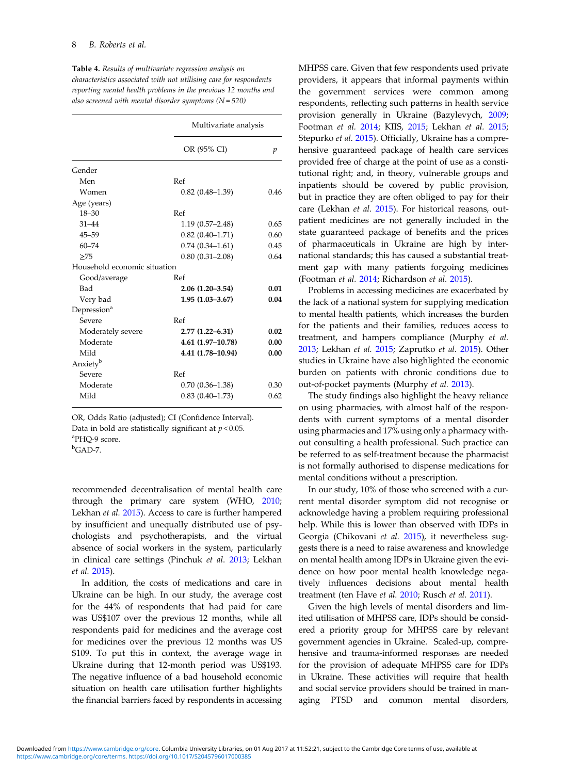|                              | also screened with mental disorder symptoms ( $N = 520$ ) |      |  |  |
|------------------------------|-----------------------------------------------------------|------|--|--|
|                              | Multivariate analysis                                     |      |  |  |
|                              | OR (95% CI)                                               | p    |  |  |
| Gender                       |                                                           |      |  |  |
| Men                          | Ref                                                       |      |  |  |
| Women                        | $0.82(0.48-1.39)$                                         | 0.46 |  |  |
| Age (years)                  |                                                           |      |  |  |
| $18 - 30$                    | Ref                                                       |      |  |  |
| $31 - 44$                    | $1.19(0.57 - 2.48)$                                       | 0.65 |  |  |
| $45 - 59$                    | $0.82(0.40-1.71)$                                         | 0.60 |  |  |
| $60 - 74$                    | $0.74(0.34 - 1.61)$                                       | 0.45 |  |  |
| >75                          | $0.80(0.31 - 2.08)$                                       | 0.64 |  |  |
| Household economic situation |                                                           |      |  |  |
| Good/average                 | Ref                                                       |      |  |  |
| Bad                          | $2.06(1.20-3.54)$                                         | 0.01 |  |  |
| Very bad                     | $1.95(1.03 - 3.67)$                                       | 0.04 |  |  |
| Depression <sup>a</sup>      |                                                           |      |  |  |
| Severe                       | Ref                                                       |      |  |  |
| Moderately severe            | $2.77(1.22 - 6.31)$                                       | 0.02 |  |  |
| Moderate                     | 4.61 (1.97–10.78)                                         | 0.00 |  |  |
| Mild                         | 4.41 (1.78-10.94)                                         | 0.00 |  |  |
| Anxiety <sup>b</sup>         |                                                           |      |  |  |
| Severe                       | Ref                                                       |      |  |  |
| Moderate                     | $0.70(0.36 - 1.38)$                                       | 0.30 |  |  |
| Mild                         | $0.83(0.40 - 1.73)$                                       | 0.62 |  |  |

<span id="page-7-0"></span>Table 4. Results of multivariate regression analysis on characteristics associated with not utilising care for respondents reporting mental health problems in the previous 12 months and

OR, Odds Ratio (adjusted); CI (Confidence Interval). Data in bold are statistically significant at  $p < 0.05$ . a PHQ-9 score.  ${}^{\text{b}}$ GAD-7.

recommended decentralisation of mental health care through the primary care system (WHO, [2010;](#page-11-0) Lekhan et al. [2015](#page-10-0)). Access to care is further hampered by insufficient and unequally distributed use of psychologists and psychotherapists, and the virtual absence of social workers in the system, particularly in clinical care settings (Pinchuk et al. [2013](#page-10-0); Lekhan et al. [2015\)](#page-10-0).

In addition, the costs of medications and care in Ukraine can be high. In our study, the average cost for the 44% of respondents that had paid for care was US\$107 over the previous 12 months, while all respondents paid for medicines and the average cost for medicines over the previous 12 months was US \$109. To put this in context, the average wage in Ukraine during that 12-month period was US\$193. The negative influence of a bad household economic situation on health care utilisation further highlights the financial barriers faced by respondents in accessing MHPSS care. Given that few respondents used private providers, it appears that informal payments within the government services were common among respondents, reflecting such patterns in health service provision generally in Ukraine (Bazylevych, [2009](#page-10-0); Footman et al. [2014;](#page-10-0) KIIS, [2015;](#page-10-0) Lekhan et al. [2015](#page-10-0); Stepurko et al. [2015\)](#page-11-0). Officially, Ukraine has a comprehensive guaranteed package of health care services provided free of charge at the point of use as a constitutional right; and, in theory, vulnerable groups and inpatients should be covered by public provision, but in practice they are often obliged to pay for their care (Lekhan et al. [2015](#page-10-0)). For historical reasons, outpatient medicines are not generally included in the state guaranteed package of benefits and the prices of pharmaceuticals in Ukraine are high by international standards; this has caused a substantial treatment gap with many patients forgoing medicines (Footman et al. [2014;](#page-10-0) Richardson et al. [2015\)](#page-10-0).

Problems in accessing medicines are exacerbated by the lack of a national system for supplying medication to mental health patients, which increases the burden for the patients and their families, reduces access to treatment, and hampers compliance (Murphy et al. [2013](#page-10-0); Lekhan et al. [2015](#page-10-0); Zaprutko et al. [2015](#page-11-0)). Other studies in Ukraine have also highlighted the economic burden on patients with chronic conditions due to out-of-pocket payments (Murphy et al. [2013](#page-10-0)).

The study findings also highlight the heavy reliance on using pharmacies, with almost half of the respondents with current symptoms of a mental disorder using pharmacies and 17% using only a pharmacy without consulting a health professional. Such practice can be referred to as self-treatment because the pharmacist is not formally authorised to dispense medications for mental conditions without a prescription.

In our study, 10% of those who screened with a current mental disorder symptom did not recognise or acknowledge having a problem requiring professional help. While this is lower than observed with IDPs in Georgia (Chikovani et al. [2015](#page-10-0)), it nevertheless suggests there is a need to raise awareness and knowledge on mental health among IDPs in Ukraine given the evidence on how poor mental health knowledge negatively influences decisions about mental health treatment (ten Have et al. [2010](#page-11-0); Rusch et al. [2011\)](#page-10-0).

Given the high levels of mental disorders and limited utilisation of MHPSS care, IDPs should be considered a priority group for MHPSS care by relevant government agencies in Ukraine. Scaled-up, comprehensive and trauma-informed responses are needed for the provision of adequate MHPSS care for IDPs in Ukraine. These activities will require that health and social service providers should be trained in managing PTSD and common mental disorders,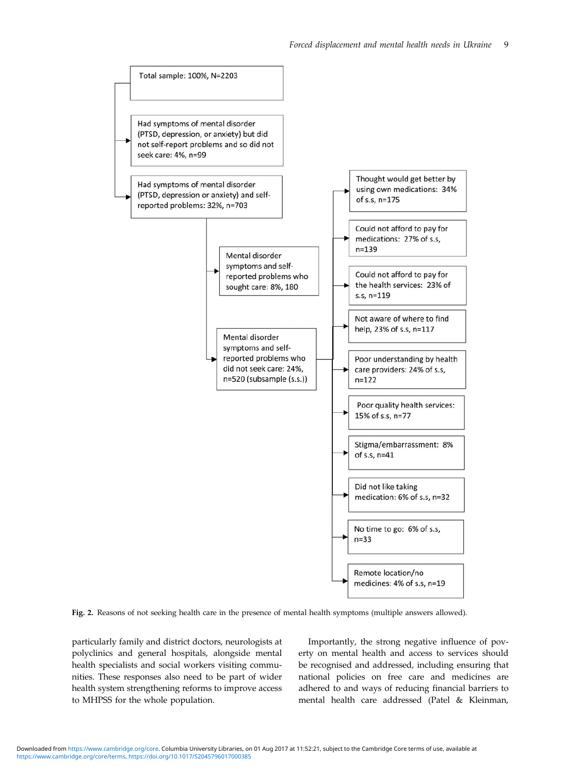<span id="page-8-0"></span>

Fig. 2. Reasons of not seeking health care in the presence of mental health symptoms (multiple answers allowed).

particularly family and district doctors, neurologists at polyclinics and general hospitals, alongside mental health specialists and social workers visiting communities. These responses also need to be part of wider health system strengthening reforms to improve access to MHPSS for the whole population.

Importantly, the strong negative influence of poverty on mental health and access to services should be recognised and addressed, including ensuring that national policies on free care and medicines are adhered to and ways of reducing financial barriers to mental health care addressed (Patel & Kleinman,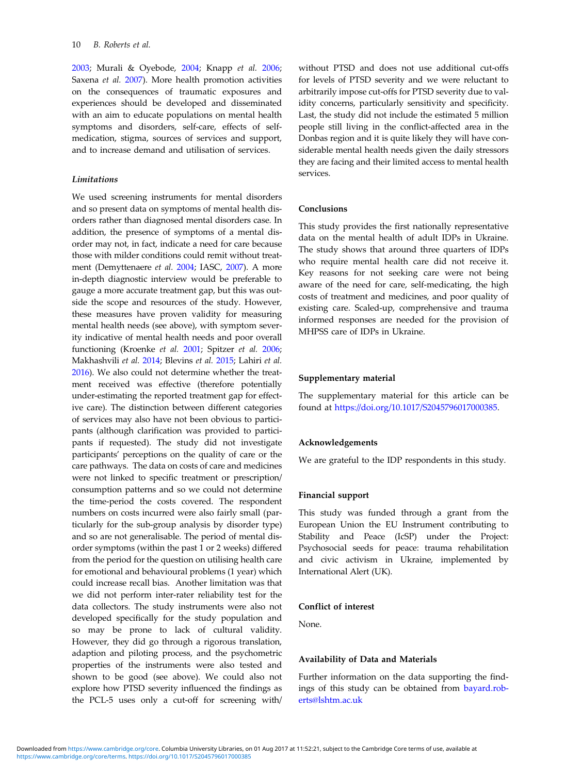[2003;](#page-10-0) Murali & Oyebode, [2004](#page-10-0); Knapp et al. [2006;](#page-10-0) Saxena et al. [2007](#page-11-0)). More health promotion activities on the consequences of traumatic exposures and experiences should be developed and disseminated with an aim to educate populations on mental health symptoms and disorders, self-care, effects of selfmedication, stigma, sources of services and support, and to increase demand and utilisation of services.

## Limitations

We used screening instruments for mental disorders and so present data on symptoms of mental health disorders rather than diagnosed mental disorders case. In addition, the presence of symptoms of a mental disorder may not, in fact, indicate a need for care because those with milder conditions could remit without treatment (Demyttenaere et al. [2004](#page-10-0); IASC, [2007\)](#page-10-0). A more in-depth diagnostic interview would be preferable to gauge a more accurate treatment gap, but this was outside the scope and resources of the study. However, these measures have proven validity for measuring mental health needs (see above), with symptom severity indicative of mental health needs and poor overall functioning (Kroenke et al. [2001;](#page-10-0) Spitzer et al. [2006;](#page-11-0) Makhashvili et al. [2014](#page-10-0); Blevins et al. [2015;](#page-10-0) Lahiri et al. [2016\)](#page-10-0). We also could not determine whether the treatment received was effective (therefore potentially under-estimating the reported treatment gap for effective care). The distinction between different categories of services may also have not been obvious to participants (although clarification was provided to participants if requested). The study did not investigate participants' perceptions on the quality of care or the care pathways. The data on costs of care and medicines were not linked to specific treatment or prescription/ consumption patterns and so we could not determine the time-period the costs covered. The respondent numbers on costs incurred were also fairly small (particularly for the sub-group analysis by disorder type) and so are not generalisable. The period of mental disorder symptoms (within the past 1 or 2 weeks) differed from the period for the question on utilising health care for emotional and behavioural problems (1 year) which could increase recall bias. Another limitation was that we did not perform inter-rater reliability test for the data collectors. The study instruments were also not developed specifically for the study population and so may be prone to lack of cultural validity. However, they did go through a rigorous translation, adaption and piloting process, and the psychometric properties of the instruments were also tested and shown to be good (see above). We could also not explore how PTSD severity influenced the findings as the PCL-5 uses only a cut-off for screening with/ without PTSD and does not use additional cut-offs for levels of PTSD severity and we were reluctant to arbitrarily impose cut-offs for PTSD severity due to validity concerns, particularly sensitivity and specificity. Last, the study did not include the estimated 5 million people still living in the conflict-affected area in the Donbas region and it is quite likely they will have considerable mental health needs given the daily stressors they are facing and their limited access to mental health services.

#### Conclusions

This study provides the first nationally representative data on the mental health of adult IDPs in Ukraine. The study shows that around three quarters of IDPs who require mental health care did not receive it. Key reasons for not seeking care were not being aware of the need for care, self-medicating, the high costs of treatment and medicines, and poor quality of existing care. Scaled-up, comprehensive and trauma informed responses are needed for the provision of MHPSS care of IDPs in Ukraine.

#### Supplementary material

The supplementary material for this article can be found at <https://doi.org/10.1017/S2045796017000385>.

#### Acknowledgements

We are grateful to the IDP respondents in this study.

#### Financial support

This study was funded through a grant from the European Union the EU Instrument contributing to Stability and Peace (IcSP) under the Project: Psychosocial seeds for peace: trauma rehabilitation and civic activism in Ukraine, implemented by International Alert (UK).

## Conflict of interest

None.

#### Availability of Data and Materials

Further information on the data supporting the findings of this study can be obtained from [bayard.rob](mailto:bayard.roberts@lshtm.ac.uk)[erts@lshtm.ac.uk](mailto:bayard.roberts@lshtm.ac.uk)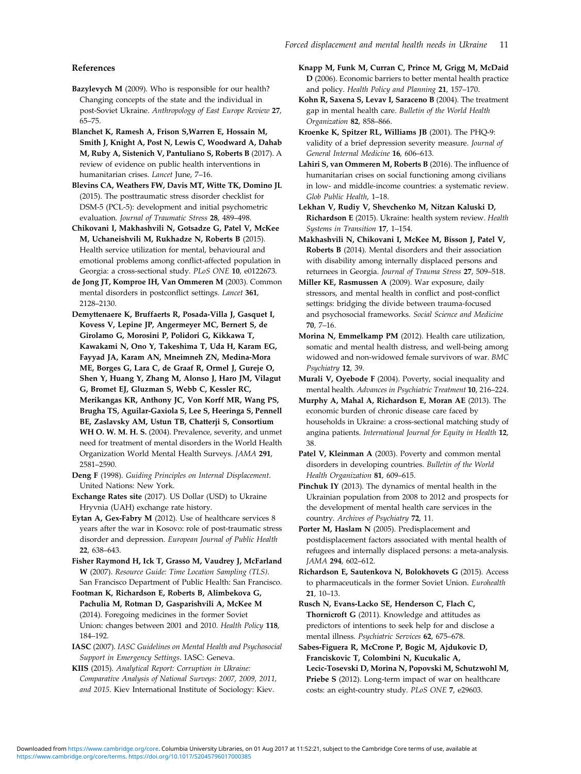### <span id="page-10-0"></span>References

- Bazylevych M (2009). Who is responsible for our health? Changing concepts of the state and the individual in post-Soviet Ukraine. Anthropology of East Europe Review 27, 65–75.
- Blanchet K, Ramesh A, Frison S,Warren E, Hossain M, Smith J, Knight A, Post N, Lewis C, Woodward A, Dahab M, Ruby A, Sistenich V, Pantuliano S, Roberts B (2017). A review of evidence on public health interventions in humanitarian crises. Lancet June, 7–16.
- Blevins CA, Weathers FW, Davis MT, Witte TK, Domino JL (2015). The posttraumatic stress disorder checklist for DSM-5 (PCL-5): development and initial psychometric evaluation. Journal of Traumatic Stress 28, 489–498.
- Chikovani I, Makhashvili N, Gotsadze G, Patel V, McKee M, Uchaneishvili M, Rukhadze N, Roberts B (2015). Health service utilization for mental, behavioural and emotional problems among conflict-affected population in Georgia: a cross-sectional study. PLoS ONE 10, e0122673.
- de Jong JT, Komproe IH, Van Ommeren M (2003). Common mental disorders in postconflict settings. Lancet 361, 2128–2130.
- Demyttenaere K, Bruffaerts R, Posada-Villa J, Gasquet I, Kovess V, Lepine JP, Angermeyer MC, Bernert S, de Girolamo G, Morosini P, Polidori G, Kikkawa T, Kawakami N, Ono Y, Takeshima T, Uda H, Karam EG, Fayyad JA, Karam AN, Mneimneh ZN, Medina-Mora ME, Borges G, Lara C, de Graaf R, Ormel J, Gureje O, Shen Y, Huang Y, Zhang M, Alonso J, Haro JM, Vilagut G, Bromet EJ, Gluzman S, Webb C, Kessler RC, Merikangas KR, Anthony JC, Von Korff MR, Wang PS, Brugha TS, Aguilar-Gaxiola S, Lee S, Heeringa S, Pennell BE, Zaslavsky AM, Ustun TB, Chatterji S, Consortium WH O. W. M. H. S. (2004). Prevalence, severity, and unmet need for treatment of mental disorders in the World Health Organization World Mental Health Surveys. JAMA 291, 2581–2590.
- Deng F (1998). Guiding Principles on Internal Displacement. United Nations: New York.
- Exchange Rates site (2017). US Dollar (USD) to Ukraine Hryvnia (UAH) exchange rate history.
- Eytan A, Gex-Fabry M (2012). Use of healthcare services 8 years after the war in Kosovo: role of post-traumatic stress disorder and depression. European Journal of Public Health 22, 638–643.
- Fisher Raymond H, Ick T, Grasso M, Vaudrey J, McFarland W (2007). Resource Guide: Time Location Sampling (TLS). San Francisco Department of Public Health: San Francisco.
- Footman K, Richardson E, Roberts B, Alimbekova G, Pachulia M, Rotman D, Gasparishvili A, McKee M (2014). Foregoing medicines in the former Soviet Union: changes between 2001 and 2010. Health Policy 118, 184–192.
- IASC (2007). IASC Guidelines on Mental Health and Psychosocial Support in Emergency Settings. IASC: Geneva.
- KIIS (2015). Analytical Report: Corruption in Ukraine: Comparative Analysis of National Surveys: 2007, 2009, 2011, and 2015. Kiev International Institute of Sociology: Kiev.
- Knapp M, Funk M, Curran C, Prince M, Grigg M, McDaid D (2006). Economic barriers to better mental health practice and policy. Health Policy and Planning 21, 157–170.
- Kohn R, Saxena S, Levav I, Saraceno B (2004). The treatment gap in mental health care. Bulletin of the World Health Organization 82, 858–866.
- Kroenke K, Spitzer RL, Williams JB (2001). The PHQ-9: validity of a brief depression severity measure. Journal of General Internal Medicine 16, 606–613.
- Lahiri S, van Ommeren M, Roberts B (2016). The influence of humanitarian crises on social functioning among civilians in low- and middle-income countries: a systematic review. Glob Public Health, 1–18.
- Lekhan V, Rudiy V, Shevchenko M, Nitzan Kaluski D, Richardson E (2015). Ukraine: health system review. Health Systems in Transition 17, 1–154.
- Makhashvili N, Chikovani I, McKee M, Bisson J, Patel V, Roberts B (2014). Mental disorders and their association with disability among internally displaced persons and returnees in Georgia. Journal of Trauma Stress 27, 509–518.
- Miller KE, Rasmussen A (2009). War exposure, daily stressors, and mental health in conflict and post-conflict settings: bridging the divide between trauma-focused and psychosocial frameworks. Social Science and Medicine 70, 7–16.
- Morina N, Emmelkamp PM (2012). Health care utilization, somatic and mental health distress, and well-being among widowed and non-widowed female survivors of war. BMC Psychiatry 12, 39.
- Murali V, Oyebode F (2004). Poverty, social inequality and mental health. Advances in Psychiatric Treatment 10, 216–224.
- Murphy A, Mahal A, Richardson E, Moran AE (2013). The economic burden of chronic disease care faced by households in Ukraine: a cross-sectional matching study of angina patients. International Journal for Equity in Health 12, 38.
- Patel V, Kleinman A (2003). Poverty and common mental disorders in developing countries. Bulletin of the World Health Organization 81, 609–615.
- Pinchuk IY (2013). The dynamics of mental health in the Ukrainian population from 2008 to 2012 and prospects for the development of mental health care services in the country. Archives of Psychiatry 72, 11.
- Porter M, Haslam N (2005). Predisplacement and postdisplacement factors associated with mental health of refugees and internally displaced persons: a meta-analysis. JAMA 294, 602–612.
- Richardson E, Sautenkova N, Bolokhovets G (2015). Access to pharmaceuticals in the former Soviet Union. Eurohealth 21, 10–13.
- Rusch N, Evans-Lacko SE, Henderson C, Flach C, Thornicroft G (2011). Knowledge and attitudes as predictors of intentions to seek help for and disclose a mental illness. Psychiatric Services 62, 675–678.
- Sabes-Figuera R, McCrone P, Bogic M, Ajdukovic D, Franciskovic T, Colombini N, Kucukalic A, Lecic-Tosevski D, Morina N, Popovski M, Schutzwohl M, Priebe S (2012). Long-term impact of war on healthcare costs: an eight-country study. PLoS ONE 7, e29603.